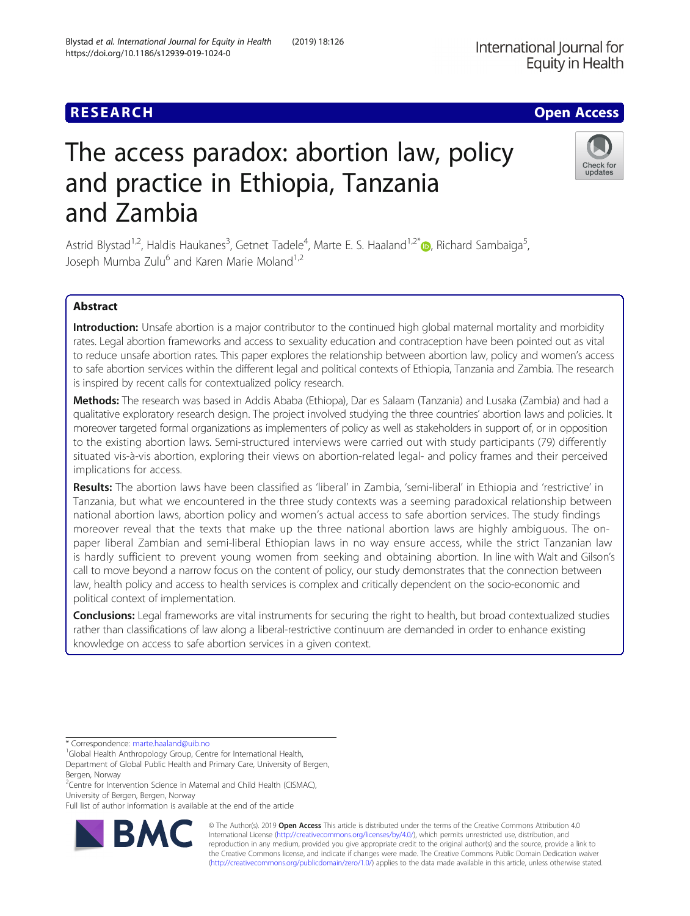# **RESEARCH CHE Open Access**

# The access paradox: abortion law, policy and practice in Ethiopia, Tanzania and Zambia

Astrid Blystad<sup>1,2</sup>, Haldis Haukanes<sup>3</sup>, Getnet Tadele<sup>4</sup>, Marte E. S. Haaland<sup>1,2[\\*](http://orcid.org/0000-0001-8253-2841)</sup>®, Richard Sambaiga<sup>5</sup> , Joseph Mumba Zulu<sup>6</sup> and Karen Marie Moland<sup>1,2</sup>

# Abstract

Introduction: Unsafe abortion is a major contributor to the continued high global maternal mortality and morbidity rates. Legal abortion frameworks and access to sexuality education and contraception have been pointed out as vital to reduce unsafe abortion rates. This paper explores the relationship between abortion law, policy and women's access to safe abortion services within the different legal and political contexts of Ethiopia, Tanzania and Zambia. The research is inspired by recent calls for contextualized policy research.

Methods: The research was based in Addis Ababa (Ethiopa), Dar es Salaam (Tanzania) and Lusaka (Zambia) and had a qualitative exploratory research design. The project involved studying the three countries' abortion laws and policies. It moreover targeted formal organizations as implementers of policy as well as stakeholders in support of, or in opposition to the existing abortion laws. Semi-structured interviews were carried out with study participants (79) differently situated vis-à-vis abortion, exploring their views on abortion-related legal- and policy frames and their perceived implications for access.

Results: The abortion laws have been classified as 'liberal' in Zambia, 'semi-liberal' in Ethiopia and 'restrictive' in Tanzania, but what we encountered in the three study contexts was a seeming paradoxical relationship between national abortion laws, abortion policy and women's actual access to safe abortion services. The study findings moreover reveal that the texts that make up the three national abortion laws are highly ambiguous. The onpaper liberal Zambian and semi-liberal Ethiopian laws in no way ensure access, while the strict Tanzanian law is hardly sufficient to prevent young women from seeking and obtaining abortion. In line with Walt and Gilson's call to move beyond a narrow focus on the content of policy, our study demonstrates that the connection between law, health policy and access to health services is complex and critically dependent on the socio-economic and political context of implementation.

**Conclusions:** Legal frameworks are vital instruments for securing the right to health, but broad contextualized studies rather than classifications of law along a liberal-restrictive continuum are demanded in order to enhance existing knowledge on access to safe abortion services in a given context.

\* Correspondence: [marte.haaland@uib.no](mailto:marte.haaland@uib.no) <sup>1</sup>

<sup>1</sup>Global Health Anthropology Group, Centre for International Health,

Department of Global Public Health and Primary Care, University of Bergen, Bergen, Norway

<sup>2</sup>Centre for Intervention Science in Maternal and Child Health (CISMAC), University of Bergen, Bergen, Norway

Full list of author information is available at the end of the article

© The Author(s). 2019 **Open Access** This article is distributed under the terms of the Creative Commons Attribution 4.0 International License [\(http://creativecommons.org/licenses/by/4.0/](http://creativecommons.org/licenses/by/4.0/)), which permits unrestricted use, distribution, and reproduction in any medium, provided you give appropriate credit to the original author(s) and the source, provide a link to the Creative Commons license, and indicate if changes were made. The Creative Commons Public Domain Dedication waiver [\(http://creativecommons.org/publicdomain/zero/1.0/](http://creativecommons.org/publicdomain/zero/1.0/)) applies to the data made available in this article, unless otherwise stated.



International Journal for

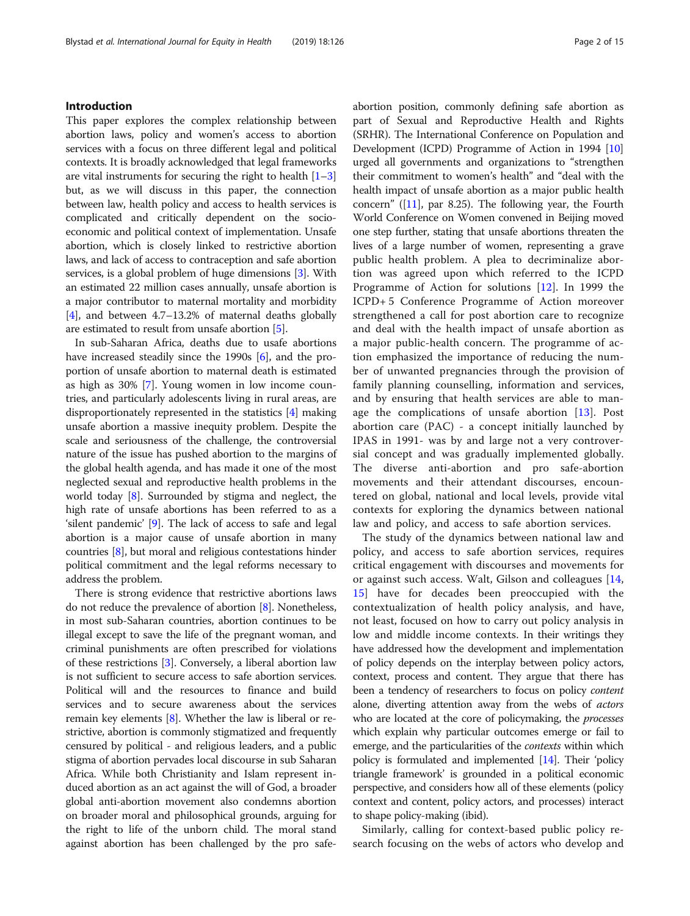# Introduction

This paper explores the complex relationship between abortion laws, policy and women's access to abortion services with a focus on three different legal and political contexts. It is broadly acknowledged that legal frameworks are vital instruments for securing the right to health  $[1-3]$  $[1-3]$  $[1-3]$  $[1-3]$  $[1-3]$ but, as we will discuss in this paper, the connection between law, health policy and access to health services is complicated and critically dependent on the socioeconomic and political context of implementation. Unsafe abortion, which is closely linked to restrictive abortion laws, and lack of access to contraception and safe abortion services, is a global problem of huge dimensions [\[3\]](#page-13-0). With an estimated 22 million cases annually, unsafe abortion is a major contributor to maternal mortality and morbidity [[4\]](#page-13-0), and between 4.7–13.2% of maternal deaths globally are estimated to result from unsafe abortion [\[5](#page-13-0)].

In sub-Saharan Africa, deaths due to usafe abortions have increased steadily since the 1990s [\[6](#page-13-0)], and the proportion of unsafe abortion to maternal death is estimated as high as 30% [[7\]](#page-13-0). Young women in low income countries, and particularly adolescents living in rural areas, are disproportionately represented in the statistics [[4\]](#page-13-0) making unsafe abortion a massive inequity problem. Despite the scale and seriousness of the challenge, the controversial nature of the issue has pushed abortion to the margins of the global health agenda, and has made it one of the most neglected sexual and reproductive health problems in the world today [\[8](#page-13-0)]. Surrounded by stigma and neglect, the high rate of unsafe abortions has been referred to as a 'silent pandemic' [\[9\]](#page-13-0). The lack of access to safe and legal abortion is a major cause of unsafe abortion in many countries [[8](#page-13-0)], but moral and religious contestations hinder political commitment and the legal reforms necessary to address the problem.

There is strong evidence that restrictive abortions laws do not reduce the prevalence of abortion [[8\]](#page-13-0). Nonetheless, in most sub-Saharan countries, abortion continues to be illegal except to save the life of the pregnant woman, and criminal punishments are often prescribed for violations of these restrictions [\[3](#page-13-0)]. Conversely, a liberal abortion law is not sufficient to secure access to safe abortion services. Political will and the resources to finance and build services and to secure awareness about the services remain key elements [\[8](#page-13-0)]. Whether the law is liberal or restrictive, abortion is commonly stigmatized and frequently censured by political - and religious leaders, and a public stigma of abortion pervades local discourse in sub Saharan Africa. While both Christianity and Islam represent induced abortion as an act against the will of God, a broader global anti-abortion movement also condemns abortion on broader moral and philosophical grounds, arguing for the right to life of the unborn child. The moral stand against abortion has been challenged by the pro safeabortion position, commonly defining safe abortion as part of Sexual and Reproductive Health and Rights (SRHR). The International Conference on Population and Development (ICPD) Programme of Action in 1994 [[10](#page-13-0)] urged all governments and organizations to "strengthen their commitment to women's health" and "deal with the health impact of unsafe abortion as a major public health concern" ( $[11]$  $[11]$  $[11]$ , par 8.25). The following year, the Fourth World Conference on Women convened in Beijing moved one step further, stating that unsafe abortions threaten the lives of a large number of women, representing a grave public health problem. A plea to decriminalize abortion was agreed upon which referred to the ICPD Programme of Action for solutions [[12\]](#page-13-0). In 1999 the ICPD+ 5 Conference Programme of Action moreover strengthened a call for post abortion care to recognize and deal with the health impact of unsafe abortion as a major public-health concern. The programme of action emphasized the importance of reducing the number of unwanted pregnancies through the provision of family planning counselling, information and services, and by ensuring that health services are able to manage the complications of unsafe abortion [\[13](#page-13-0)]. Post abortion care (PAC) - a concept initially launched by IPAS in 1991- was by and large not a very controversial concept and was gradually implemented globally. The diverse anti-abortion and pro safe-abortion movements and their attendant discourses, encountered on global, national and local levels, provide vital contexts for exploring the dynamics between national law and policy, and access to safe abortion services.

The study of the dynamics between national law and policy, and access to safe abortion services, requires critical engagement with discourses and movements for or against such access. Walt, Gilson and colleagues [\[14](#page-13-0), [15\]](#page-13-0) have for decades been preoccupied with the contextualization of health policy analysis, and have, not least, focused on how to carry out policy analysis in low and middle income contexts. In their writings they have addressed how the development and implementation of policy depends on the interplay between policy actors, context, process and content. They argue that there has been a tendency of researchers to focus on policy content alone, diverting attention away from the webs of actors who are located at the core of policymaking, the processes which explain why particular outcomes emerge or fail to emerge, and the particularities of the contexts within which policy is formulated and implemented [[14\]](#page-13-0). Their 'policy triangle framework' is grounded in a political economic perspective, and considers how all of these elements (policy context and content, policy actors, and processes) interact to shape policy-making (ibid).

Similarly, calling for context-based public policy research focusing on the webs of actors who develop and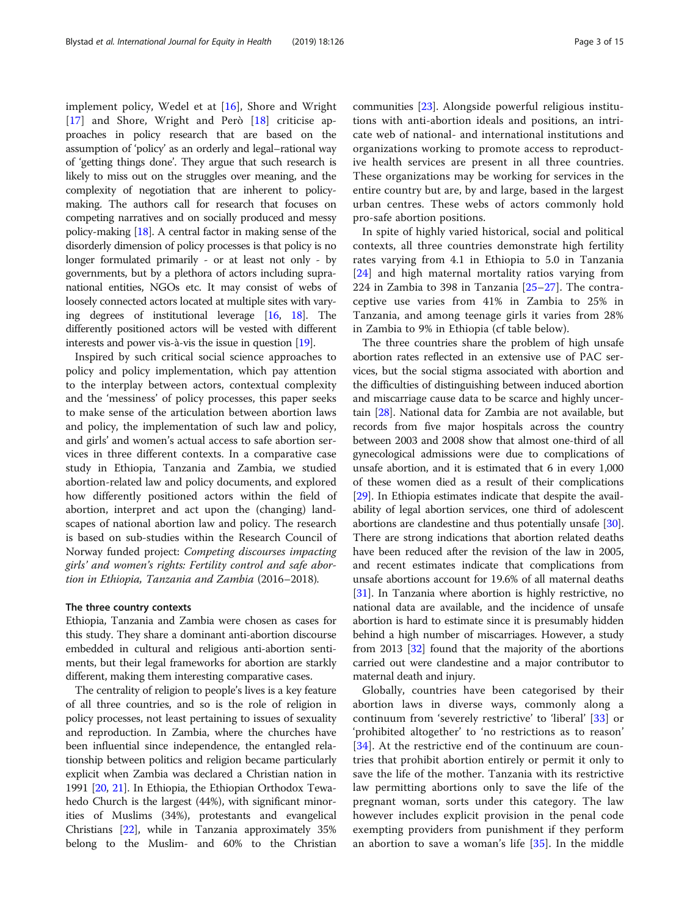implement policy, Wedel et at [[16](#page-13-0)], Shore and Wright [[17\]](#page-13-0) and Shore, Wright and Però [[18\]](#page-13-0) criticise approaches in policy research that are based on the assumption of 'policy' as an orderly and legal–rational way of 'getting things done'. They argue that such research is likely to miss out on the struggles over meaning, and the complexity of negotiation that are inherent to policymaking. The authors call for research that focuses on competing narratives and on socially produced and messy policy-making [[18](#page-13-0)]. A central factor in making sense of the disorderly dimension of policy processes is that policy is no longer formulated primarily - or at least not only - by governments, but by a plethora of actors including supranational entities, NGOs etc. It may consist of webs of loosely connected actors located at multiple sites with varying degrees of institutional leverage [\[16,](#page-13-0) [18\]](#page-13-0). The differently positioned actors will be vested with different interests and power vis-à-vis the issue in question [[19](#page-13-0)].

Inspired by such critical social science approaches to policy and policy implementation, which pay attention to the interplay between actors, contextual complexity and the 'messiness' of policy processes, this paper seeks to make sense of the articulation between abortion laws and policy, the implementation of such law and policy, and girls' and women's actual access to safe abortion services in three different contexts. In a comparative case study in Ethiopia, Tanzania and Zambia, we studied abortion-related law and policy documents, and explored how differently positioned actors within the field of abortion, interpret and act upon the (changing) landscapes of national abortion law and policy. The research is based on sub-studies within the Research Council of Norway funded project: Competing discourses impacting girls' and women's rights: Fertility control and safe abortion in Ethiopia, Tanzania and Zambia (2016–2018).

### The three country contexts

Ethiopia, Tanzania and Zambia were chosen as cases for this study. They share a dominant anti-abortion discourse embedded in cultural and religious anti-abortion sentiments, but their legal frameworks for abortion are starkly different, making them interesting comparative cases.

The centrality of religion to people's lives is a key feature of all three countries, and so is the role of religion in policy processes, not least pertaining to issues of sexuality and reproduction. In Zambia, where the churches have been influential since independence, the entangled relationship between politics and religion became particularly explicit when Zambia was declared a Christian nation in 1991 [\[20,](#page-13-0) [21\]](#page-13-0). In Ethiopia, the Ethiopian Orthodox Tewahedo Church is the largest (44%), with significant minorities of Muslims (34%), protestants and evangelical Christians [\[22\]](#page-13-0), while in Tanzania approximately 35% belong to the Muslim- and 60% to the Christian

communities [[23](#page-13-0)]. Alongside powerful religious institutions with anti-abortion ideals and positions, an intricate web of national- and international institutions and organizations working to promote access to reproductive health services are present in all three countries. These organizations may be working for services in the entire country but are, by and large, based in the largest urban centres. These webs of actors commonly hold pro-safe abortion positions.

In spite of highly varied historical, social and political contexts, all three countries demonstrate high fertility rates varying from 4.1 in Ethiopia to 5.0 in Tanzania [[24\]](#page-13-0) and high maternal mortality ratios varying from 224 in Zambia to 398 in Tanzania [[25](#page-13-0)–[27](#page-13-0)]. The contraceptive use varies from 41% in Zambia to 25% in Tanzania, and among teenage girls it varies from 28% in Zambia to 9% in Ethiopia (cf table below).

The three countries share the problem of high unsafe abortion rates reflected in an extensive use of PAC services, but the social stigma associated with abortion and the difficulties of distinguishing between induced abortion and miscarriage cause data to be scarce and highly uncertain [[28](#page-13-0)]. National data for Zambia are not available, but records from five major hospitals across the country between 2003 and 2008 show that almost one-third of all gynecological admissions were due to complications of unsafe abortion, and it is estimated that 6 in every 1,000 of these women died as a result of their complications [[29](#page-13-0)]. In Ethiopia estimates indicate that despite the availability of legal abortion services, one third of adolescent abortions are clandestine and thus potentially unsafe [[30](#page-13-0)]. There are strong indications that abortion related deaths have been reduced after the revision of the law in 2005, and recent estimates indicate that complications from unsafe abortions account for 19.6% of all maternal deaths [[31](#page-13-0)]. In Tanzania where abortion is highly restrictive, no national data are available, and the incidence of unsafe abortion is hard to estimate since it is presumably hidden behind a high number of miscarriages. However, a study from 2013 [[32](#page-13-0)] found that the majority of the abortions carried out were clandestine and a major contributor to maternal death and injury.

Globally, countries have been categorised by their abortion laws in diverse ways, commonly along a continuum from 'severely restrictive' to 'liberal' [[33\]](#page-13-0) or 'prohibited altogether' to 'no restrictions as to reason' [[34\]](#page-13-0). At the restrictive end of the continuum are countries that prohibit abortion entirely or permit it only to save the life of the mother. Tanzania with its restrictive law permitting abortions only to save the life of the pregnant woman, sorts under this category. The law however includes explicit provision in the penal code exempting providers from punishment if they perform an abortion to save a woman's life [[35\]](#page-13-0). In the middle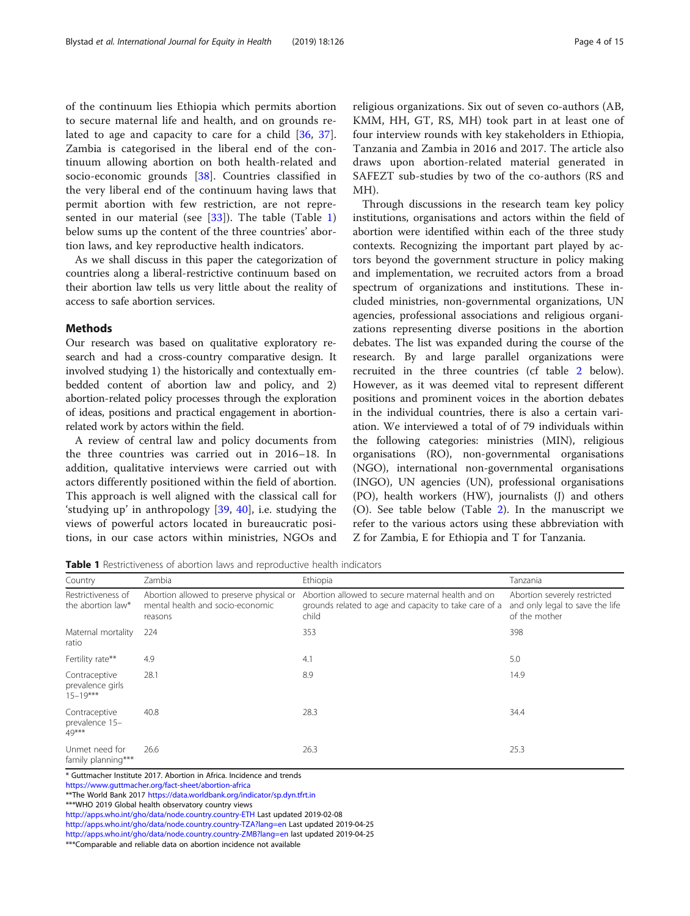of the continuum lies Ethiopia which permits abortion to secure maternal life and health, and on grounds re-lated to age and capacity to care for a child [\[36](#page-13-0), [37](#page-13-0)]. Zambia is categorised in the liberal end of the continuum allowing abortion on both health-related and socio-economic grounds [[38\]](#page-14-0). Countries classified in the very liberal end of the continuum having laws that permit abortion with few restriction, are not represented in our material (see  $[33]$  $[33]$ ). The table (Table 1) below sums up the content of the three countries' abortion laws, and key reproductive health indicators.

As we shall discuss in this paper the categorization of countries along a liberal-restrictive continuum based on their abortion law tells us very little about the reality of access to safe abortion services.

# **Methods**

Our research was based on qualitative exploratory research and had a cross-country comparative design. It involved studying 1) the historically and contextually embedded content of abortion law and policy, and 2) abortion-related policy processes through the exploration of ideas, positions and practical engagement in abortionrelated work by actors within the field.

A review of central law and policy documents from the three countries was carried out in 2016–18. In addition, qualitative interviews were carried out with actors differently positioned within the field of abortion. This approach is well aligned with the classical call for 'studying up' in anthropology [\[39](#page-14-0), [40](#page-14-0)], i.e. studying the views of powerful actors located in bureaucratic positions, in our case actors within ministries, NGOs and religious organizations. Six out of seven co-authors (AB, KMM, HH, GT, RS, MH) took part in at least one of four interview rounds with key stakeholders in Ethiopia, Tanzania and Zambia in 2016 and 2017. The article also draws upon abortion-related material generated in SAFEZT sub-studies by two of the co-authors (RS and MH).

Through discussions in the research team key policy institutions, organisations and actors within the field of abortion were identified within each of the three study contexts. Recognizing the important part played by actors beyond the government structure in policy making and implementation, we recruited actors from a broad spectrum of organizations and institutions. These included ministries, non-governmental organizations, UN agencies, professional associations and religious organizations representing diverse positions in the abortion debates. The list was expanded during the course of the research. By and large parallel organizations were recruited in the three countries (cf table [2](#page-4-0) below). However, as it was deemed vital to represent different positions and prominent voices in the abortion debates in the individual countries, there is also a certain variation. We interviewed a total of of 79 individuals within the following categories: ministries (MIN), religious organisations (RO), non-governmental organisations (NGO), international non-governmental organisations (INGO), UN agencies (UN), professional organisations (PO), health workers (HW), journalists (J) and others (O). See table below (Table [2](#page-4-0)). In the manuscript we refer to the various actors using these abbreviation with Z for Zambia, E for Ethiopia and T for Tanzania.

**Table 1** Restrictiveness of abortion laws and reproductive health indicators

| Country                                           | Zambia                                                                                  | Ethiopia                                                                                                            | Tanzania                                                                         |
|---------------------------------------------------|-----------------------------------------------------------------------------------------|---------------------------------------------------------------------------------------------------------------------|----------------------------------------------------------------------------------|
| Restrictiveness of<br>the abortion law*           | Abortion allowed to preserve physical or<br>mental health and socio-economic<br>reasons | Abortion allowed to secure maternal health and on<br>grounds related to age and capacity to take care of a<br>child | Abortion severely restricted<br>and only legal to save the life<br>of the mother |
| Maternal mortality<br>ratio                       | 224                                                                                     | 353                                                                                                                 | 398                                                                              |
| Fertility rate**                                  | 4.9                                                                                     | 4.1                                                                                                                 | 5.0                                                                              |
| Contraceptive<br>prevalence girls<br>$15 - 19***$ | 28.1                                                                                    | 8.9                                                                                                                 | 14.9                                                                             |
| Contraceptive<br>prevalence 15-<br>49***          | 40.8                                                                                    | 28.3                                                                                                                | 34.4                                                                             |
| Unmet need for<br>family planning***              | 26.6                                                                                    | 26.3                                                                                                                | 25.3                                                                             |

\* Guttmacher Institute 2017. Abortion in Africa. Incidence and trends

<https://www.guttmacher.org/fact-sheet/abortion-africa>

\*\*The World Bank 2017 <https://data.worldbank.org/indicator/sp.dyn.tfrt.in>

\*\*\*WHO 2019 Global health observatory country views

<http://apps.who.int/gho/data/node.country.country-ETH> Last updated 2019-02-08 <http://apps.who.int/gho/data/node.country.country-TZA?lang=en> Last updated 2019-04-25

<http://apps.who.int/gho/data/node.country.country-ZMB?lang=en> last updated 2019-04-25

\*\*\*Comparable and reliable data on abortion incidence not available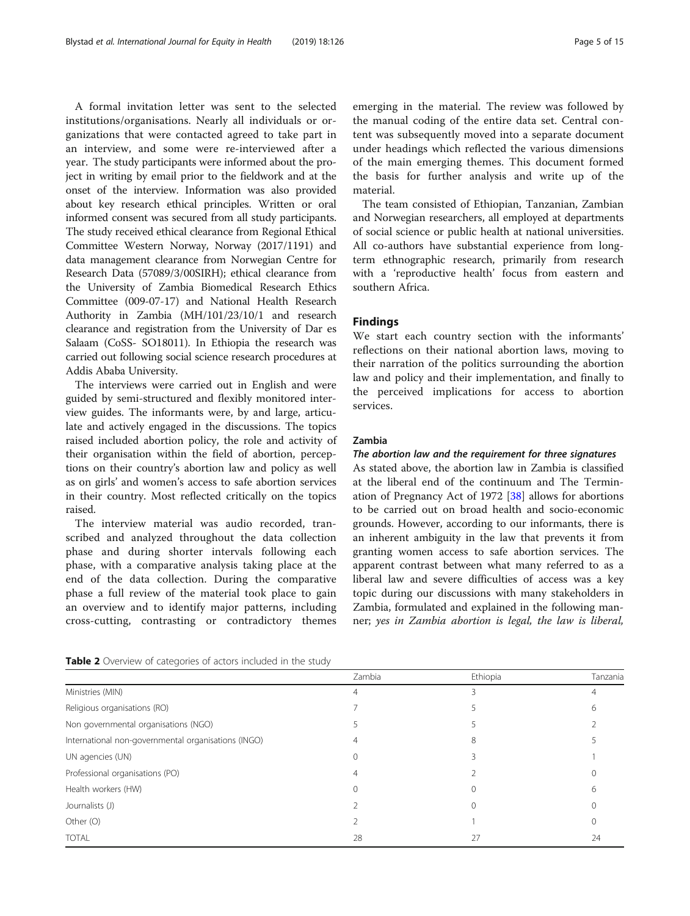<span id="page-4-0"></span>A formal invitation letter was sent to the selected institutions/organisations. Nearly all individuals or organizations that were contacted agreed to take part in an interview, and some were re-interviewed after a year. The study participants were informed about the project in writing by email prior to the fieldwork and at the onset of the interview. Information was also provided about key research ethical principles. Written or oral informed consent was secured from all study participants. The study received ethical clearance from Regional Ethical Committee Western Norway, Norway (2017/1191) and data management clearance from Norwegian Centre for Research Data (57089/3/00SIRH); ethical clearance from the University of Zambia Biomedical Research Ethics Committee (009-07-17) and National Health Research Authority in Zambia (MH/101/23/10/1 and research clearance and registration from the University of Dar es Salaam (CoSS- SO18011). In Ethiopia the research was carried out following social science research procedures at Addis Ababa University.

The interviews were carried out in English and were guided by semi-structured and flexibly monitored interview guides. The informants were, by and large, articulate and actively engaged in the discussions. The topics raised included abortion policy, the role and activity of their organisation within the field of abortion, perceptions on their country's abortion law and policy as well as on girls' and women's access to safe abortion services in their country. Most reflected critically on the topics raised.

The interview material was audio recorded, transcribed and analyzed throughout the data collection phase and during shorter intervals following each phase, with a comparative analysis taking place at the end of the data collection. During the comparative phase a full review of the material took place to gain an overview and to identify major patterns, including cross-cutting, contrasting or contradictory themes

Table 2 Overview of categories of actors included in the study

emerging in the material. The review was followed by the manual coding of the entire data set. Central content was subsequently moved into a separate document under headings which reflected the various dimensions of the main emerging themes. This document formed the basis for further analysis and write up of the material.

The team consisted of Ethiopian, Tanzanian, Zambian and Norwegian researchers, all employed at departments of social science or public health at national universities. All co-authors have substantial experience from longterm ethnographic research, primarily from research with a 'reproductive health' focus from eastern and southern Africa.

# Findings

We start each country section with the informants' reflections on their national abortion laws, moving to their narration of the politics surrounding the abortion law and policy and their implementation, and finally to the perceived implications for access to abortion services.

# Zambia

# The abortion law and the requirement for three signatures

As stated above, the abortion law in Zambia is classified at the liberal end of the continuum and The Termination of Pregnancy Act of 1972 [[38](#page-14-0)] allows for abortions to be carried out on broad health and socio-economic grounds. However, according to our informants, there is an inherent ambiguity in the law that prevents it from granting women access to safe abortion services. The apparent contrast between what many referred to as a liberal law and severe difficulties of access was a key topic during our discussions with many stakeholders in Zambia, formulated and explained in the following manner; yes in Zambia abortion is legal, the law is liberal,

|                                                     | Zambia | Ethiopia | Tanzania |
|-----------------------------------------------------|--------|----------|----------|
| Ministries (MIN)                                    |        |          | 4        |
| Religious organisations (RO)                        |        |          | h        |
| Non governmental organisations (NGO)                |        |          |          |
| International non-governmental organisations (INGO) |        | 8        |          |
| UN agencies (UN)                                    |        |          |          |
| Professional organisations (PO)                     |        |          |          |
| Health workers (HW)                                 |        |          | h        |
| Journalists (J)                                     |        |          |          |
| Other (O)                                           |        |          |          |
| <b>TOTAL</b>                                        | 28     | 27       | 24       |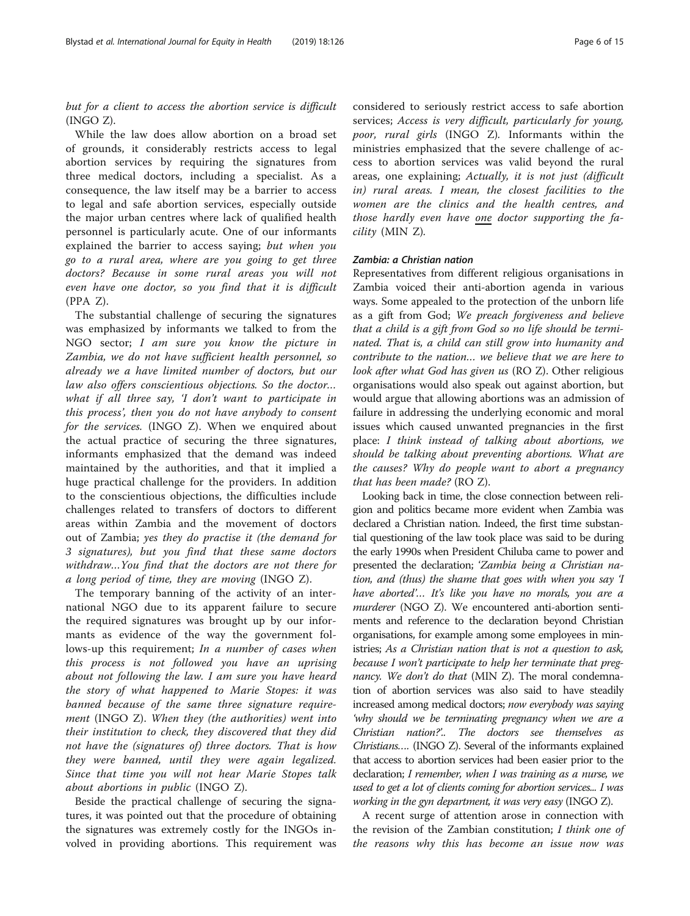but for a client to access the abortion service is difficult (INGO Z).

While the law does allow abortion on a broad set of grounds, it considerably restricts access to legal abortion services by requiring the signatures from three medical doctors, including a specialist. As a consequence, the law itself may be a barrier to access to legal and safe abortion services, especially outside the major urban centres where lack of qualified health personnel is particularly acute. One of our informants explained the barrier to access saying; but when you go to a rural area, where are you going to get three doctors? Because in some rural areas you will not even have one doctor, so you find that it is difficult (PPA Z).

The substantial challenge of securing the signatures was emphasized by informants we talked to from the NGO sector; I am sure you know the picture in Zambia, we do not have sufficient health personnel, so already we a have limited number of doctors, but our law also offers conscientious objections. So the doctor… what if all three say, 'I don't want to participate in this process', then you do not have anybody to consent for the services. (INGO Z). When we enquired about the actual practice of securing the three signatures, informants emphasized that the demand was indeed maintained by the authorities, and that it implied a huge practical challenge for the providers. In addition to the conscientious objections, the difficulties include challenges related to transfers of doctors to different areas within Zambia and the movement of doctors out of Zambia; yes they do practise it (the demand for 3 signatures), but you find that these same doctors withdraw…You find that the doctors are not there for a long period of time, they are moving (INGO Z).

The temporary banning of the activity of an international NGO due to its apparent failure to secure the required signatures was brought up by our informants as evidence of the way the government follows-up this requirement; In a number of cases when this process is not followed you have an uprising about not following the law. I am sure you have heard the story of what happened to Marie Stopes: it was banned because of the same three signature requirement (INGO Z). When they (the authorities) went into their institution to check, they discovered that they did not have the (signatures of) three doctors. That is how they were banned, until they were again legalized. Since that time you will not hear Marie Stopes talk about abortions in public (INGO Z).

Beside the practical challenge of securing the signatures, it was pointed out that the procedure of obtaining the signatures was extremely costly for the INGOs involved in providing abortions. This requirement was

considered to seriously restrict access to safe abortion services; Access is very difficult, particularly for young, poor, rural girls (INGO Z). Informants within the ministries emphasized that the severe challenge of access to abortion services was valid beyond the rural areas, one explaining; Actually, it is not just (difficult in) rural areas. I mean, the closest facilities to the women are the clinics and the health centres, and those hardly even have one doctor supporting the facility (MIN Z).

#### Zambia: a Christian nation

Representatives from different religious organisations in Zambia voiced their anti-abortion agenda in various ways. Some appealed to the protection of the unborn life as a gift from God; We preach forgiveness and believe that a child is a gift from God so no life should be terminated. That is, a child can still grow into humanity and contribute to the nation… we believe that we are here to look after what God has given us (RO Z). Other religious organisations would also speak out against abortion, but would argue that allowing abortions was an admission of failure in addressing the underlying economic and moral issues which caused unwanted pregnancies in the first place: I think instead of talking about abortions, we should be talking about preventing abortions. What are the causes? Why do people want to abort a pregnancy that has been made? (RO Z).

Looking back in time, the close connection between religion and politics became more evident when Zambia was declared a Christian nation. Indeed, the first time substantial questioning of the law took place was said to be during the early 1990s when President Chiluba came to power and presented the declaration; 'Zambia being a Christian nation, and (thus) the shame that goes with when you say 'I have aborted'... It's like you have no morals, you are a murderer (NGO Z). We encountered anti-abortion sentiments and reference to the declaration beyond Christian organisations, for example among some employees in ministries; As a Christian nation that is not a question to ask, because I won't participate to help her terminate that pregnancy. We don't do that (MIN Z). The moral condemnation of abortion services was also said to have steadily increased among medical doctors; now everybody was saying 'why should we be terminating pregnancy when we are a Christian nation?'.. The doctors see themselves as Christians…. (INGO Z). Several of the informants explained that access to abortion services had been easier prior to the declaration; I remember, when I was training as a nurse, we used to get a lot of clients coming for abortion services... I was working in the gyn department, it was very easy (INGO Z).

A recent surge of attention arose in connection with the revision of the Zambian constitution; I think one of the reasons why this has become an issue now was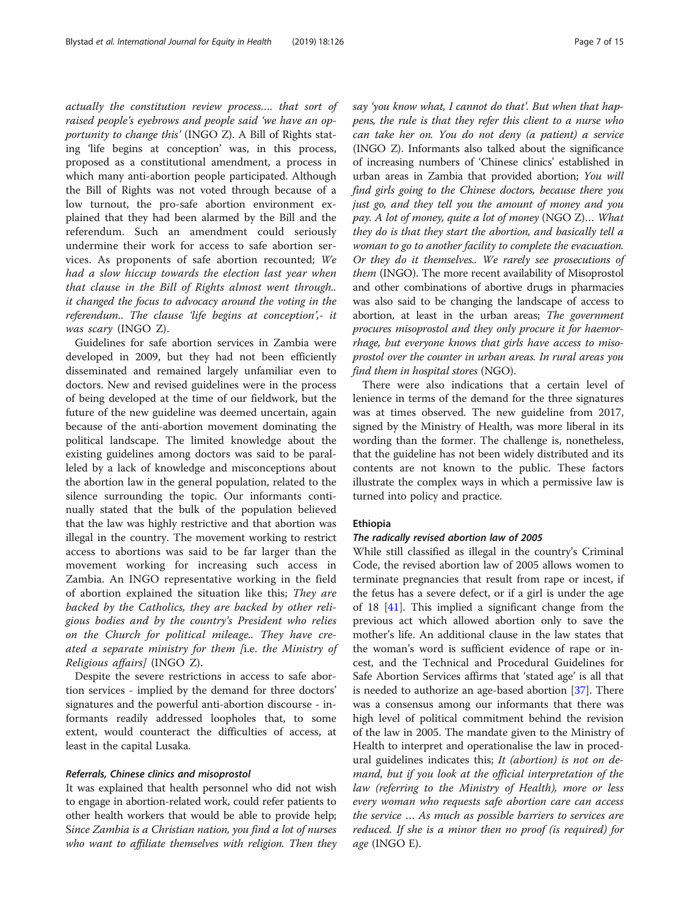actually the constitution review process…. that sort of raised people's eyebrows and people said 'we have an opportunity to change this' (INGO Z). A Bill of Rights stating 'life begins at conception' was, in this process, proposed as a constitutional amendment, a process in which many anti-abortion people participated. Although the Bill of Rights was not voted through because of a low turnout, the pro-safe abortion environment explained that they had been alarmed by the Bill and the referendum. Such an amendment could seriously undermine their work for access to safe abortion services. As proponents of safe abortion recounted; We had a slow hiccup towards the election last year when that clause in the Bill of Rights almost went through.. it changed the focus to advocacy around the voting in the referendum.. The clause 'life begins at conception',- it was scary (INGO Z).

Guidelines for safe abortion services in Zambia were developed in 2009, but they had not been efficiently disseminated and remained largely unfamiliar even to doctors. New and revised guidelines were in the process of being developed at the time of our fieldwork, but the future of the new guideline was deemed uncertain, again because of the anti-abortion movement dominating the political landscape. The limited knowledge about the existing guidelines among doctors was said to be paralleled by a lack of knowledge and misconceptions about the abortion law in the general population, related to the silence surrounding the topic. Our informants continually stated that the bulk of the population believed that the law was highly restrictive and that abortion was illegal in the country. The movement working to restrict access to abortions was said to be far larger than the movement working for increasing such access in Zambia. An INGO representative working in the field of abortion explained the situation like this; They are backed by the Catholics, they are backed by other religious bodies and by the country's President who relies on the Church for political mileage.. They have created a separate ministry for them [i.e. the Ministry of Religious affairs] (INGO Z).

Despite the severe restrictions in access to safe abortion services - implied by the demand for three doctors' signatures and the powerful anti-abortion discourse - informants readily addressed loopholes that, to some extent, would counteract the difficulties of access, at least in the capital Lusaka.

#### Referrals, Chinese clinics and misoprostol

It was explained that health personnel who did not wish to engage in abortion-related work, could refer patients to other health workers that would be able to provide help; Since Zambia is a Christian nation, you find a lot of nurses who want to affiliate themselves with religion. Then they

say 'you know what, I cannot do that'. But when that happens, the rule is that they refer this client to a nurse who can take her on. You do not deny (a patient) a service (INGO Z). Informants also talked about the significance of increasing numbers of 'Chinese clinics' established in urban areas in Zambia that provided abortion; You will find girls going to the Chinese doctors, because there you just go, and they tell you the amount of money and you pay. A lot of money, quite a lot of money (NGO Z)… What they do is that they start the abortion, and basically tell a woman to go to another facility to complete the evacuation. Or they do it themselves.. We rarely see prosecutions of them (INGO). The more recent availability of Misoprostol and other combinations of abortive drugs in pharmacies was also said to be changing the landscape of access to abortion, at least in the urban areas; The government procures misoprostol and they only procure it for haemorrhage, but everyone knows that girls have access to misoprostol over the counter in urban areas. In rural areas you find them in hospital stores (NGO).

There were also indications that a certain level of lenience in terms of the demand for the three signatures was at times observed. The new guideline from 2017, signed by the Ministry of Health, was more liberal in its wording than the former. The challenge is, nonetheless, that the guideline has not been widely distributed and its contents are not known to the public. These factors illustrate the complex ways in which a permissive law is turned into policy and practice.

# Ethiopia

# The radically revised abortion law of 2005

While still classified as illegal in the country's Criminal Code, the revised abortion law of 2005 allows women to terminate pregnancies that result from rape or incest, if the fetus has a severe defect, or if a girl is under the age of 18 [[41\]](#page-14-0). This implied a significant change from the previous act which allowed abortion only to save the mother's life. An additional clause in the law states that the woman's word is sufficient evidence of rape or incest, and the Technical and Procedural Guidelines for Safe Abortion Services affirms that 'stated age' is all that is needed to authorize an age-based abortion [[37\]](#page-13-0). There was a consensus among our informants that there was high level of political commitment behind the revision of the law in 2005. The mandate given to the Ministry of Health to interpret and operationalise the law in procedural guidelines indicates this; It (abortion) is not on demand, but if you look at the official interpretation of the law (referring to the Ministry of Health), more or less every woman who requests safe abortion care can access the service … As much as possible barriers to services are reduced. If she is a minor then no proof (is required) for age (INGO E).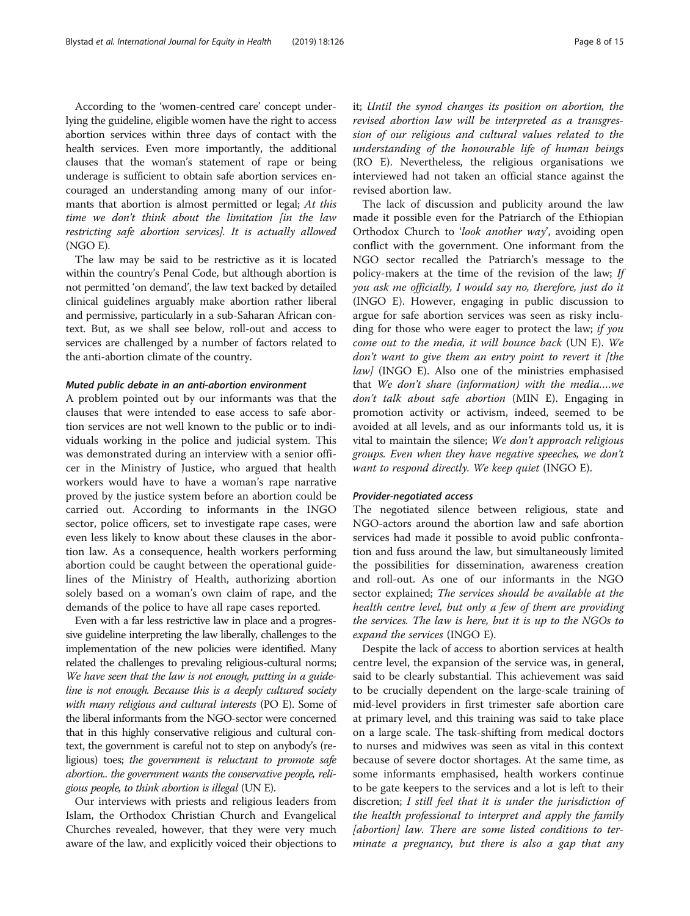According to the 'women-centred care' concept underlying the guideline, eligible women have the right to access abortion services within three days of contact with the health services. Even more importantly, the additional clauses that the woman's statement of rape or being underage is sufficient to obtain safe abortion services encouraged an understanding among many of our informants that abortion is almost permitted or legal; At this time we don't think about the limitation [in the law restricting safe abortion services]. It is actually allowed (NGO E).

The law may be said to be restrictive as it is located within the country's Penal Code, but although abortion is not permitted 'on demand', the law text backed by detailed clinical guidelines arguably make abortion rather liberal and permissive, particularly in a sub-Saharan African context. But, as we shall see below, roll-out and access to services are challenged by a number of factors related to the anti-abortion climate of the country.

#### Muted public debate in an anti-abortion environment

A problem pointed out by our informants was that the clauses that were intended to ease access to safe abortion services are not well known to the public or to individuals working in the police and judicial system. This was demonstrated during an interview with a senior officer in the Ministry of Justice, who argued that health workers would have to have a woman's rape narrative proved by the justice system before an abortion could be carried out. According to informants in the INGO sector, police officers, set to investigate rape cases, were even less likely to know about these clauses in the abortion law. As a consequence, health workers performing abortion could be caught between the operational guidelines of the Ministry of Health, authorizing abortion solely based on a woman's own claim of rape, and the demands of the police to have all rape cases reported.

Even with a far less restrictive law in place and a progressive guideline interpreting the law liberally, challenges to the implementation of the new policies were identified. Many related the challenges to prevaling religious-cultural norms; We have seen that the law is not enough, putting in a guideline is not enough. Because this is a deeply cultured society with many religious and cultural interests (PO E). Some of the liberal informants from the NGO-sector were concerned that in this highly conservative religious and cultural context, the government is careful not to step on anybody's (religious) toes; the government is reluctant to promote safe abortion.. the government wants the conservative people, religious people, to think abortion is illegal (UN E).

Our interviews with priests and religious leaders from Islam, the Orthodox Christian Church and Evangelical Churches revealed, however, that they were very much aware of the law, and explicitly voiced their objections to it; Until the synod changes its position on abortion, the revised abortion law will be interpreted as a transgression of our religious and cultural values related to the understanding of the honourable life of human beings (RO E). Nevertheless, the religious organisations we interviewed had not taken an official stance against the revised abortion law.

The lack of discussion and publicity around the law made it possible even for the Patriarch of the Ethiopian Orthodox Church to 'look another way', avoiding open conflict with the government. One informant from the NGO sector recalled the Patriarch's message to the policy-makers at the time of the revision of the law; If you ask me officially, I would say no, therefore, just do it (INGO E). However, engaging in public discussion to argue for safe abortion services was seen as risky including for those who were eager to protect the law; if you come out to the media, it will bounce back (UN E). We don't want to give them an entry point to revert it [the  $law$  (INGO E). Also one of the ministries emphasised that We don't share (information) with the media….we don't talk about safe abortion (MIN E). Engaging in promotion activity or activism, indeed, seemed to be avoided at all levels, and as our informants told us, it is vital to maintain the silence; We don't approach religious groups. Even when they have negative speeches, we don't want to respond directly. We keep quiet (INGO E).

#### Provider-negotiated access

The negotiated silence between religious, state and NGO-actors around the abortion law and safe abortion services had made it possible to avoid public confrontation and fuss around the law, but simultaneously limited the possibilities for dissemination, awareness creation and roll-out. As one of our informants in the NGO sector explained; The services should be available at the health centre level, but only a few of them are providing the services. The law is here, but it is up to the NGOs to expand the services (INGO E).

Despite the lack of access to abortion services at health centre level, the expansion of the service was, in general, said to be clearly substantial. This achievement was said to be crucially dependent on the large-scale training of mid-level providers in first trimester safe abortion care at primary level, and this training was said to take place on a large scale. The task-shifting from medical doctors to nurses and midwives was seen as vital in this context because of severe doctor shortages. At the same time, as some informants emphasised, health workers continue to be gate keepers to the services and a lot is left to their discretion; I still feel that it is under the jurisdiction of the health professional to interpret and apply the family [abortion] law. There are some listed conditions to terminate a pregnancy, but there is also a gap that any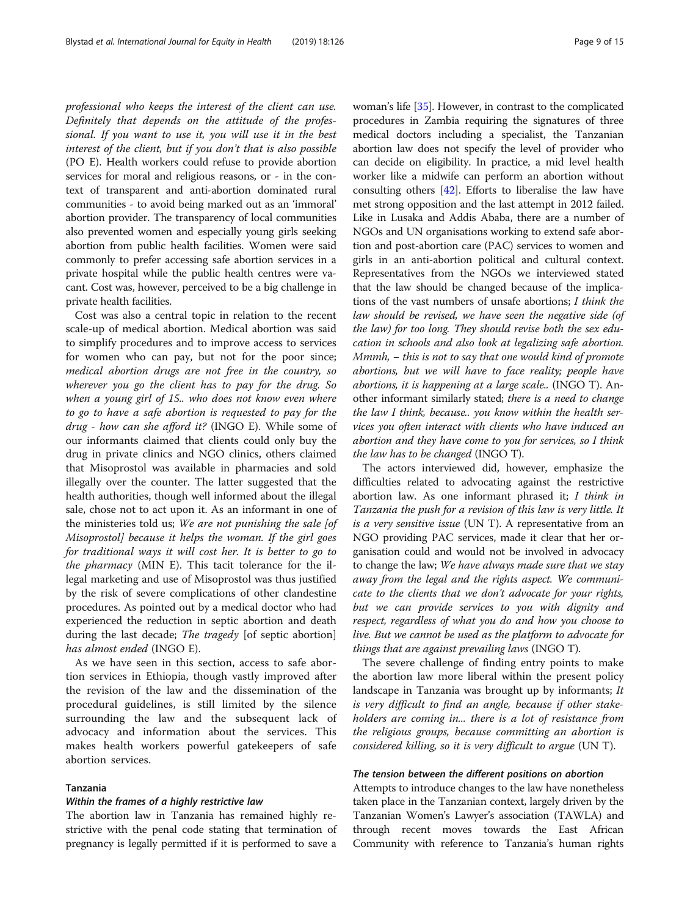professional who keeps the interest of the client can use. Definitely that depends on the attitude of the professional. If you want to use it, you will use it in the best interest of the client, but if you don't that is also possible (PO E). Health workers could refuse to provide abortion services for moral and religious reasons, or - in the context of transparent and anti-abortion dominated rural communities - to avoid being marked out as an 'immoral' abortion provider. The transparency of local communities also prevented women and especially young girls seeking abortion from public health facilities. Women were said commonly to prefer accessing safe abortion services in a private hospital while the public health centres were vacant. Cost was, however, perceived to be a big challenge in private health facilities.

Cost was also a central topic in relation to the recent scale-up of medical abortion. Medical abortion was said to simplify procedures and to improve access to services for women who can pay, but not for the poor since; medical abortion drugs are not free in the country, so wherever you go the client has to pay for the drug. So when a young girl of 15.. who does not know even where to go to have a safe abortion is requested to pay for the drug - how can she afford it? (INGO E). While some of our informants claimed that clients could only buy the drug in private clinics and NGO clinics, others claimed that Misoprostol was available in pharmacies and sold illegally over the counter. The latter suggested that the health authorities, though well informed about the illegal sale, chose not to act upon it. As an informant in one of the ministeries told us; We are not punishing the sale [of Misoprostol] because it helps the woman. If the girl goes for traditional ways it will cost her. It is better to go to the pharmacy (MIN E). This tacit tolerance for the illegal marketing and use of Misoprostol was thus justified by the risk of severe complications of other clandestine procedures. As pointed out by a medical doctor who had experienced the reduction in septic abortion and death during the last decade; *The tragedy* [of septic abortion] has almost ended (INGO E).

As we have seen in this section, access to safe abortion services in Ethiopia, though vastly improved after the revision of the law and the dissemination of the procedural guidelines, is still limited by the silence surrounding the law and the subsequent lack of advocacy and information about the services. This makes health workers powerful gatekeepers of safe abortion services.

# Tanzania

#### Within the frames of a highly restrictive law

The abortion law in Tanzania has remained highly restrictive with the penal code stating that termination of pregnancy is legally permitted if it is performed to save a woman's life [\[35\]](#page-13-0). However, in contrast to the complicated procedures in Zambia requiring the signatures of three medical doctors including a specialist, the Tanzanian abortion law does not specify the level of provider who can decide on eligibility. In practice, a mid level health worker like a midwife can perform an abortion without consulting others [\[42\]](#page-14-0). Efforts to liberalise the law have met strong opposition and the last attempt in 2012 failed. Like in Lusaka and Addis Ababa, there are a number of NGOs and UN organisations working to extend safe abortion and post-abortion care (PAC) services to women and girls in an anti-abortion political and cultural context. Representatives from the NGOs we interviewed stated that the law should be changed because of the implications of the vast numbers of unsafe abortions; I think the law should be revised, we have seen the negative side (of the law) for too long. They should revise both the sex education in schools and also look at legalizing safe abortion.  $Mmmh$ ,  $-$  this is not to say that one would kind of promote abortions, but we will have to face reality; people have abortions, it is happening at a large scale.. (INGO T). Another informant similarly stated; there is a need to change the law I think, because.. you know within the health services you often interact with clients who have induced an abortion and they have come to you for services, so I think the law has to be changed (INGO T).

The actors interviewed did, however, emphasize the difficulties related to advocating against the restrictive abortion law. As one informant phrased it; I think in Tanzania the push for a revision of this law is very little. It is a very sensitive issue (UN T). A representative from an NGO providing PAC services, made it clear that her organisation could and would not be involved in advocacy to change the law; We have always made sure that we stay away from the legal and the rights aspect. We communicate to the clients that we don't advocate for your rights, but we can provide services to you with dignity and respect, regardless of what you do and how you choose to live. But we cannot be used as the platform to advocate for things that are against prevailing laws (INGO T).

The severe challenge of finding entry points to make the abortion law more liberal within the present policy landscape in Tanzania was brought up by informants; It is very difficult to find an angle, because if other stakeholders are coming in... there is a lot of resistance from the religious groups, because committing an abortion is considered killing, so it is very difficult to argue (UN T).

# The tension between the different positions on abortion

Attempts to introduce changes to the law have nonetheless taken place in the Tanzanian context, largely driven by the Tanzanian Women's Lawyer's association (TAWLA) and through recent moves towards the East African Community with reference to Tanzania's human rights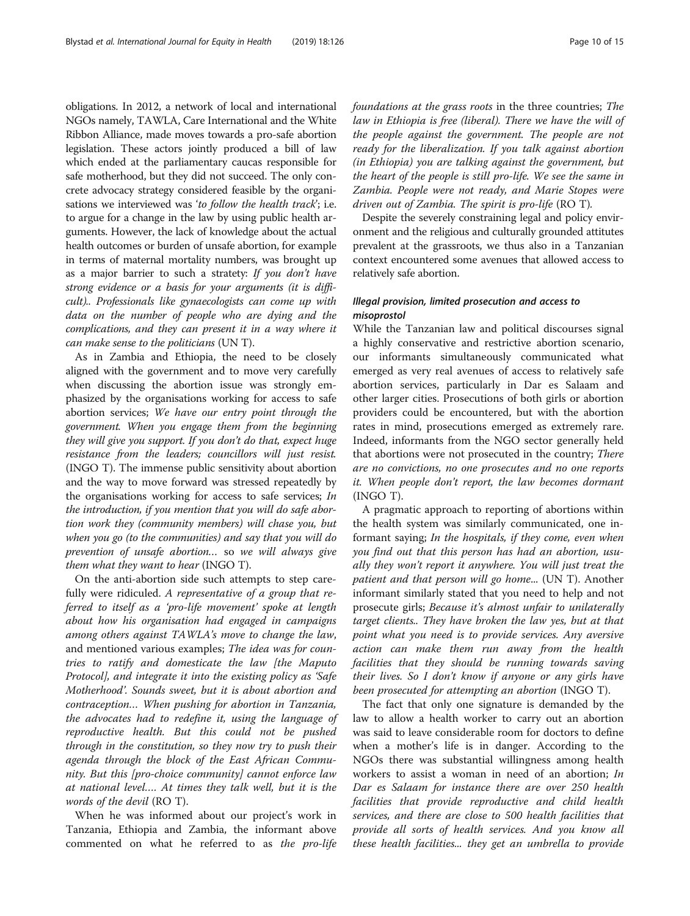obligations. In 2012, a network of local and international NGOs namely, TAWLA, Care International and the White Ribbon Alliance, made moves towards a pro-safe abortion legislation. These actors jointly produced a bill of law which ended at the parliamentary caucas responsible for safe motherhood, but they did not succeed. The only concrete advocacy strategy considered feasible by the organisations we interviewed was 'to follow the health track'; i.e. to argue for a change in the law by using public health arguments. However, the lack of knowledge about the actual health outcomes or burden of unsafe abortion, for example in terms of maternal mortality numbers, was brought up as a major barrier to such a stratety: If you don't have strong evidence or a basis for your arguments (it is difficult).. Professionals like gynaecologists can come up with data on the number of people who are dying and the complications, and they can present it in a way where it can make sense to the politicians (UN T).

As in Zambia and Ethiopia, the need to be closely aligned with the government and to move very carefully when discussing the abortion issue was strongly emphasized by the organisations working for access to safe abortion services; We have our entry point through the government. When you engage them from the beginning they will give you support. If you don't do that, expect huge resistance from the leaders; councillors will just resist. (INGO T). The immense public sensitivity about abortion and the way to move forward was stressed repeatedly by the organisations working for access to safe services; In the introduction, if you mention that you will do safe abortion work they (community members) will chase you, but when you go (to the communities) and say that you will do prevention of unsafe abortion… so we will always give them what they want to hear (INGO T).

On the anti-abortion side such attempts to step carefully were ridiculed. A representative of a group that referred to itself as a 'pro-life movement' spoke at length about how his organisation had engaged in campaigns among others against TAWLA's move to change the law, and mentioned various examples; The idea was for countries to ratify and domesticate the law [the Maputo Protocol], and integrate it into the existing policy as 'Safe Motherhood'. Sounds sweet, but it is about abortion and contraception… When pushing for abortion in Tanzania, the advocates had to redefine it, using the language of reproductive health. But this could not be pushed through in the constitution, so they now try to push their agenda through the block of the East African Community. But this [pro-choice community] cannot enforce law at national level…. At times they talk well, but it is the words of the devil (RO T).

When he was informed about our project's work in Tanzania, Ethiopia and Zambia, the informant above commented on what he referred to as the pro-life foundations at the grass roots in the three countries; The law in Ethiopia is free (liberal). There we have the will of the people against the government. The people are not ready for the liberalization. If you talk against abortion (in Ethiopia) you are talking against the government, but the heart of the people is still pro-life. We see the same in Zambia. People were not ready, and Marie Stopes were driven out of Zambia. The spirit is pro-life (RO T).

Despite the severely constraining legal and policy environment and the religious and culturally grounded attitutes prevalent at the grassroots, we thus also in a Tanzanian context encountered some avenues that allowed access to relatively safe abortion.

# Illegal provision, limited prosecution and access to misoprostol

While the Tanzanian law and political discourses signal a highly conservative and restrictive abortion scenario, our informants simultaneously communicated what emerged as very real avenues of access to relatively safe abortion services, particularly in Dar es Salaam and other larger cities. Prosecutions of both girls or abortion providers could be encountered, but with the abortion rates in mind, prosecutions emerged as extremely rare. Indeed, informants from the NGO sector generally held that abortions were not prosecuted in the country; There are no convictions, no one prosecutes and no one reports it. When people don't report, the law becomes dormant (INGO T).

A pragmatic approach to reporting of abortions within the health system was similarly communicated, one informant saying; In the hospitals, if they come, even when you find out that this person has had an abortion, usually they won't report it anywhere. You will just treat the patient and that person will go home... (UN T). Another informant similarly stated that you need to help and not prosecute girls; Because it's almost unfair to unilaterally target clients.. They have broken the law yes, but at that point what you need is to provide services. Any aversive action can make them run away from the health facilities that they should be running towards saving their lives. So I don't know if anyone or any girls have been prosecuted for attempting an abortion (INGO T).

The fact that only one signature is demanded by the law to allow a health worker to carry out an abortion was said to leave considerable room for doctors to define when a mother's life is in danger. According to the NGOs there was substantial willingness among health workers to assist a woman in need of an abortion; In Dar es Salaam for instance there are over 250 health facilities that provide reproductive and child health services, and there are close to 500 health facilities that provide all sorts of health services. And you know all these health facilities... they get an umbrella to provide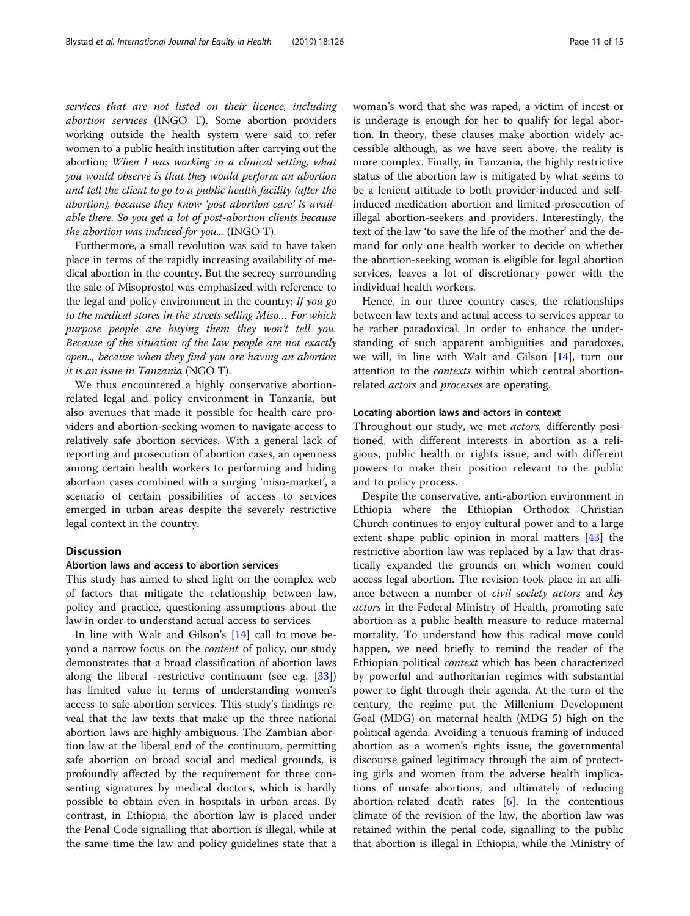services that are not listed on their licence, including abortion services (INGO T). Some abortion providers working outside the health system were said to refer women to a public health institution after carrying out the abortion; When I was working in a clinical setting, what you would observe is that they would perform an abortion and tell the client to go to a public health facility (after the abortion), because they know 'post-abortion care' is available there. So you get a lot of post-abortion clients because the abortion was induced for you... (INGO T).

Furthermore, a small revolution was said to have taken place in terms of the rapidly increasing availability of medical abortion in the country. But the secrecy surrounding the sale of Misoprostol was emphasized with reference to the legal and policy environment in the country; If you go to the medical stores in the streets selling Miso… For which purpose people are buying them they won't tell you. Because of the situation of the law people are not exactly open.., because when they find you are having an abortion it is an issue in Tanzania (NGO T).

We thus encountered a highly conservative abortionrelated legal and policy environment in Tanzania, but also avenues that made it possible for health care providers and abortion-seeking women to navigate access to relatively safe abortion services. With a general lack of reporting and prosecution of abortion cases, an openness among certain health workers to performing and hiding abortion cases combined with a surging 'miso-market', a scenario of certain possibilities of access to services emerged in urban areas despite the severely restrictive legal context in the country.

# **Discussion**

#### Abortion laws and access to abortion services

This study has aimed to shed light on the complex web of factors that mitigate the relationship between law, policy and practice, questioning assumptions about the law in order to understand actual access to services.

In line with Walt and Gilson's [[14\]](#page-13-0) call to move beyond a narrow focus on the content of policy, our study demonstrates that a broad classification of abortion laws along the liberal -restrictive continuum (see e.g. [\[33](#page-13-0)]) has limited value in terms of understanding women's access to safe abortion services. This study's findings reveal that the law texts that make up the three national abortion laws are highly ambiguous. The Zambian abortion law at the liberal end of the continuum, permitting safe abortion on broad social and medical grounds, is profoundly affected by the requirement for three consenting signatures by medical doctors, which is hardly possible to obtain even in hospitals in urban areas. By contrast, in Ethiopia, the abortion law is placed under the Penal Code signalling that abortion is illegal, while at the same time the law and policy guidelines state that a woman's word that she was raped, a victim of incest or is underage is enough for her to qualify for legal abortion. In theory, these clauses make abortion widely accessible although, as we have seen above, the reality is more complex. Finally, in Tanzania, the highly restrictive status of the abortion law is mitigated by what seems to be a lenient attitude to both provider-induced and selfinduced medication abortion and limited prosecution of illegal abortion-seekers and providers. Interestingly, the text of the law 'to save the life of the mother' and the demand for only one health worker to decide on whether the abortion-seeking woman is eligible for legal abortion services, leaves a lot of discretionary power with the individual health workers.

Hence, in our three country cases, the relationships between law texts and actual access to services appear to be rather paradoxical. In order to enhance the understanding of such apparent ambiguities and paradoxes, we will, in line with Walt and Gilson [\[14\]](#page-13-0), turn our attention to the *contexts* within which central abortionrelated *actors* and *processes* are operating.

# Locating abortion laws and actors in context

Throughout our study, we met *actors*, differently positioned, with different interests in abortion as a religious, public health or rights issue, and with different powers to make their position relevant to the public and to policy process.

Despite the conservative, anti-abortion environment in Ethiopia where the Ethiopian Orthodox Christian Church continues to enjoy cultural power and to a large extent shape public opinion in moral matters [\[43\]](#page-14-0) the restrictive abortion law was replaced by a law that drastically expanded the grounds on which women could access legal abortion. The revision took place in an alliance between a number of civil society actors and key actors in the Federal Ministry of Health, promoting safe abortion as a public health measure to reduce maternal mortality. To understand how this radical move could happen, we need briefly to remind the reader of the Ethiopian political context which has been characterized by powerful and authoritarian regimes with substantial power to fight through their agenda. At the turn of the century, the regime put the Millenium Development Goal (MDG) on maternal health (MDG 5) high on the political agenda. Avoiding a tenuous framing of induced abortion as a women's rights issue, the governmental discourse gained legitimacy through the aim of protecting girls and women from the adverse health implications of unsafe abortions, and ultimately of reducing abortion-related death rates  $[6]$  $[6]$ . In the contentious climate of the revision of the law, the abortion law was retained within the penal code, signalling to the public that abortion is illegal in Ethiopia, while the Ministry of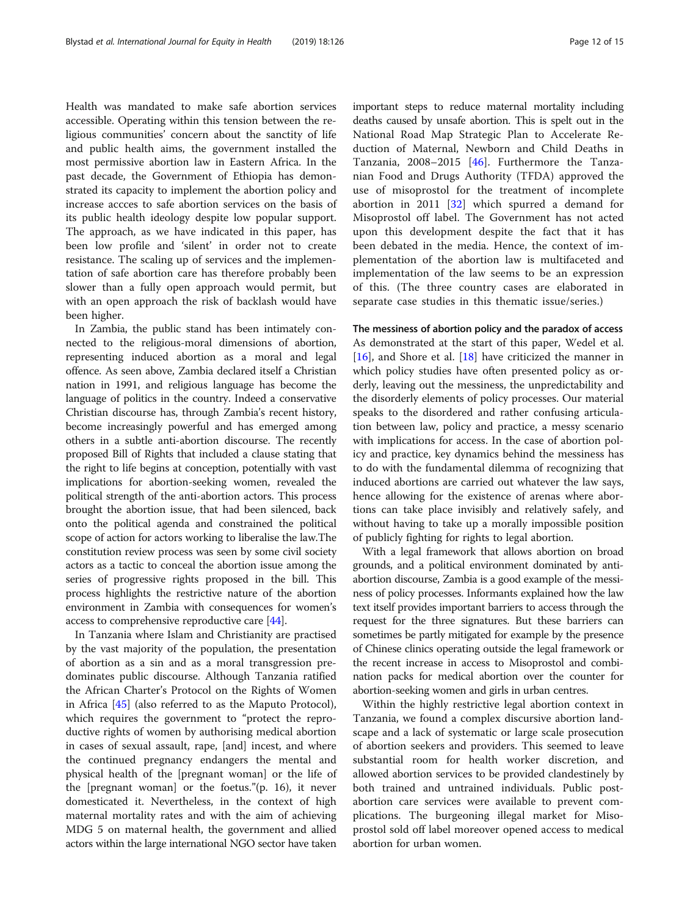Health was mandated to make safe abortion services accessible. Operating within this tension between the religious communities' concern about the sanctity of life and public health aims, the government installed the most permissive abortion law in Eastern Africa. In the past decade, the Government of Ethiopia has demonstrated its capacity to implement the abortion policy and increase accces to safe abortion services on the basis of its public health ideology despite low popular support. The approach, as we have indicated in this paper, has been low profile and 'silent' in order not to create resistance. The scaling up of services and the implementation of safe abortion care has therefore probably been slower than a fully open approach would permit, but with an open approach the risk of backlash would have been higher.

In Zambia, the public stand has been intimately connected to the religious-moral dimensions of abortion, representing induced abortion as a moral and legal offence. As seen above, Zambia declared itself a Christian nation in 1991, and religious language has become the language of politics in the country. Indeed a conservative Christian discourse has, through Zambia's recent history, become increasingly powerful and has emerged among others in a subtle anti-abortion discourse. The recently proposed Bill of Rights that included a clause stating that the right to life begins at conception, potentially with vast implications for abortion-seeking women, revealed the political strength of the anti-abortion actors. This process brought the abortion issue, that had been silenced, back onto the political agenda and constrained the political scope of action for actors working to liberalise the law.The constitution review process was seen by some civil society actors as a tactic to conceal the abortion issue among the series of progressive rights proposed in the bill. This process highlights the restrictive nature of the abortion environment in Zambia with consequences for women's access to comprehensive reproductive care [\[44\]](#page-14-0).

In Tanzania where Islam and Christianity are practised by the vast majority of the population, the presentation of abortion as a sin and as a moral transgression predominates public discourse. Although Tanzania ratified the African Charter's Protocol on the Rights of Women in Africa [[45\]](#page-14-0) (also referred to as the Maputo Protocol), which requires the government to "protect the reproductive rights of women by authorising medical abortion in cases of sexual assault, rape, [and] incest, and where the continued pregnancy endangers the mental and physical health of the [pregnant woman] or the life of the [pregnant woman] or the foetus."(p. 16), it never domesticated it. Nevertheless, in the context of high maternal mortality rates and with the aim of achieving MDG 5 on maternal health, the government and allied actors within the large international NGO sector have taken

important steps to reduce maternal mortality including deaths caused by unsafe abortion. This is spelt out in the National Road Map Strategic Plan to Accelerate Reduction of Maternal, Newborn and Child Deaths in Tanzania, 2008–2015 [[46\]](#page-14-0). Furthermore the Tanzanian Food and Drugs Authority (TFDA) approved the use of misoprostol for the treatment of incomplete abortion in 2011 [\[32](#page-13-0)] which spurred a demand for Misoprostol off label. The Government has not acted upon this development despite the fact that it has been debated in the media. Hence, the context of implementation of the abortion law is multifaceted and implementation of the law seems to be an expression of this. (The three country cases are elaborated in separate case studies in this thematic issue/series.)

The messiness of abortion policy and the paradox of access As demonstrated at the start of this paper, Wedel et al. [[16\]](#page-13-0), and Shore et al. [\[18](#page-13-0)] have criticized the manner in which policy studies have often presented policy as orderly, leaving out the messiness, the unpredictability and the disorderly elements of policy processes. Our material speaks to the disordered and rather confusing articulation between law, policy and practice, a messy scenario with implications for access. In the case of abortion policy and practice, key dynamics behind the messiness has to do with the fundamental dilemma of recognizing that induced abortions are carried out whatever the law says, hence allowing for the existence of arenas where abortions can take place invisibly and relatively safely, and without having to take up a morally impossible position of publicly fighting for rights to legal abortion.

With a legal framework that allows abortion on broad grounds, and a political environment dominated by antiabortion discourse, Zambia is a good example of the messiness of policy processes. Informants explained how the law text itself provides important barriers to access through the request for the three signatures. But these barriers can sometimes be partly mitigated for example by the presence of Chinese clinics operating outside the legal framework or the recent increase in access to Misoprostol and combination packs for medical abortion over the counter for abortion-seeking women and girls in urban centres.

Within the highly restrictive legal abortion context in Tanzania, we found a complex discursive abortion landscape and a lack of systematic or large scale prosecution of abortion seekers and providers. This seemed to leave substantial room for health worker discretion, and allowed abortion services to be provided clandestinely by both trained and untrained individuals. Public postabortion care services were available to prevent complications. The burgeoning illegal market for Misoprostol sold off label moreover opened access to medical abortion for urban women.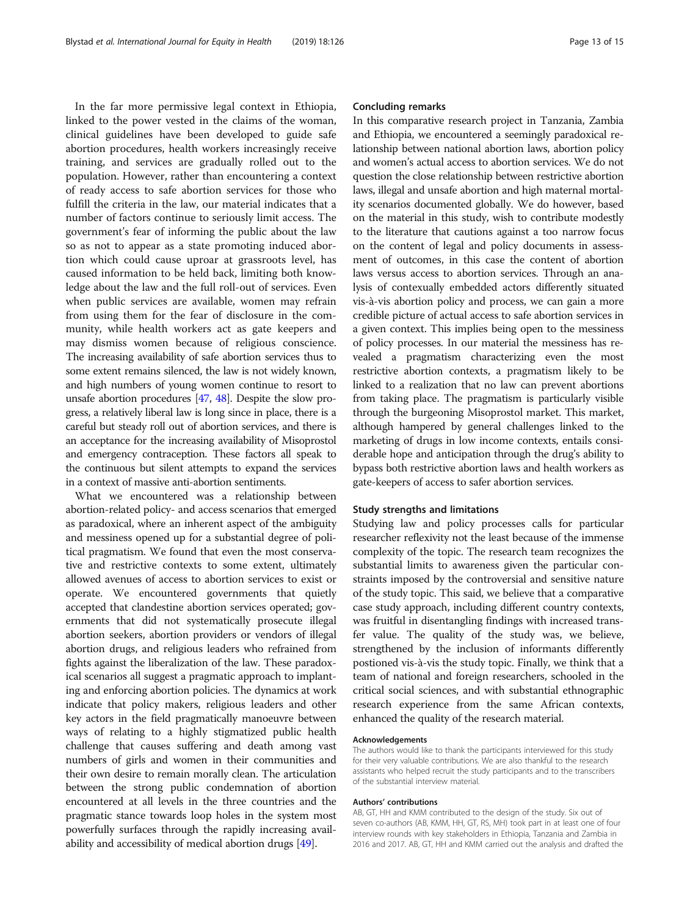In the far more permissive legal context in Ethiopia, linked to the power vested in the claims of the woman, clinical guidelines have been developed to guide safe abortion procedures, health workers increasingly receive training, and services are gradually rolled out to the population. However, rather than encountering a context of ready access to safe abortion services for those who fulfill the criteria in the law, our material indicates that a number of factors continue to seriously limit access. The government's fear of informing the public about the law so as not to appear as a state promoting induced abortion which could cause uproar at grassroots level, has caused information to be held back, limiting both knowledge about the law and the full roll-out of services. Even when public services are available, women may refrain from using them for the fear of disclosure in the community, while health workers act as gate keepers and may dismiss women because of religious conscience. The increasing availability of safe abortion services thus to some extent remains silenced, the law is not widely known, and high numbers of young women continue to resort to unsafe abortion procedures [\[47,](#page-14-0) [48\]](#page-14-0). Despite the slow progress, a relatively liberal law is long since in place, there is a careful but steady roll out of abortion services, and there is an acceptance for the increasing availability of Misoprostol and emergency contraception. These factors all speak to the continuous but silent attempts to expand the services in a context of massive anti-abortion sentiments.

What we encountered was a relationship between abortion-related policy- and access scenarios that emerged as paradoxical, where an inherent aspect of the ambiguity and messiness opened up for a substantial degree of political pragmatism. We found that even the most conservative and restrictive contexts to some extent, ultimately allowed avenues of access to abortion services to exist or operate. We encountered governments that quietly accepted that clandestine abortion services operated; governments that did not systematically prosecute illegal abortion seekers, abortion providers or vendors of illegal abortion drugs, and religious leaders who refrained from fights against the liberalization of the law. These paradoxical scenarios all suggest a pragmatic approach to implanting and enforcing abortion policies. The dynamics at work indicate that policy makers, religious leaders and other key actors in the field pragmatically manoeuvre between ways of relating to a highly stigmatized public health challenge that causes suffering and death among vast numbers of girls and women in their communities and their own desire to remain morally clean. The articulation between the strong public condemnation of abortion encountered at all levels in the three countries and the pragmatic stance towards loop holes in the system most powerfully surfaces through the rapidly increasing availability and accessibility of medical abortion drugs [\[49\]](#page-14-0).

# Concluding remarks

In this comparative research project in Tanzania, Zambia and Ethiopia, we encountered a seemingly paradoxical relationship between national abortion laws, abortion policy and women's actual access to abortion services. We do not question the close relationship between restrictive abortion laws, illegal and unsafe abortion and high maternal mortality scenarios documented globally. We do however, based on the material in this study, wish to contribute modestly to the literature that cautions against a too narrow focus on the content of legal and policy documents in assessment of outcomes, in this case the content of abortion laws versus access to abortion services. Through an analysis of contexually embedded actors differently situated vis-à-vis abortion policy and process, we can gain a more credible picture of actual access to safe abortion services in a given context. This implies being open to the messiness of policy processes. In our material the messiness has revealed a pragmatism characterizing even the most restrictive abortion contexts, a pragmatism likely to be linked to a realization that no law can prevent abortions from taking place. The pragmatism is particularly visible through the burgeoning Misoprostol market. This market, although hampered by general challenges linked to the marketing of drugs in low income contexts, entails considerable hope and anticipation through the drug's ability to bypass both restrictive abortion laws and health workers as gate-keepers of access to safer abortion services.

#### Study strengths and limitations

Studying law and policy processes calls for particular researcher reflexivity not the least because of the immense complexity of the topic. The research team recognizes the substantial limits to awareness given the particular constraints imposed by the controversial and sensitive nature of the study topic. This said, we believe that a comparative case study approach, including different country contexts, was fruitful in disentangling findings with increased transfer value. The quality of the study was, we believe, strengthened by the inclusion of informants differently postioned vis-à-vis the study topic. Finally, we think that a team of national and foreign researchers, schooled in the critical social sciences, and with substantial ethnographic research experience from the same African contexts, enhanced the quality of the research material.

#### Acknowledgements

The authors would like to thank the participants interviewed for this study for their very valuable contributions. We are also thankful to the research assistants who helped recruit the study participants and to the transcribers of the substantial interview material.

#### Authors' contributions

AB, GT, HH and KMM contributed to the design of the study. Six out of seven co-authors (AB, KMM, HH, GT, RS, MH) took part in at least one of four interview rounds with key stakeholders in Ethiopia, Tanzania and Zambia in 2016 and 2017. AB, GT, HH and KMM carried out the analysis and drafted the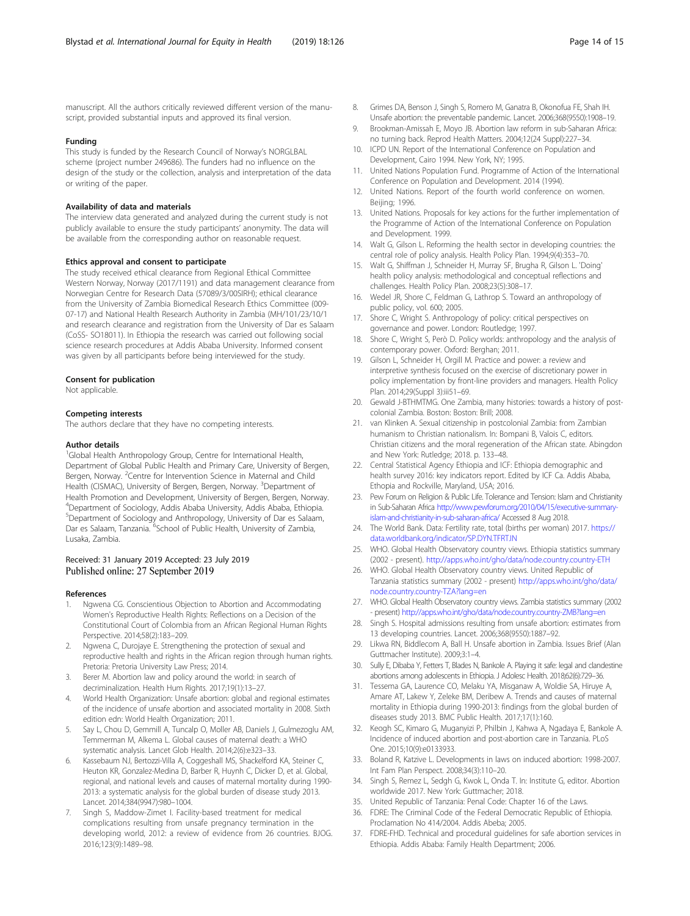<span id="page-13-0"></span>manuscript. All the authors critically reviewed different version of the manuscript, provided substantial inputs and approved its final version.

#### Funding

This study is funded by the Research Council of Norway's NORGLBAL scheme (project number 249686). The funders had no influence on the design of the study or the collection, analysis and interpretation of the data or writing of the paper.

#### Availability of data and materials

The interview data generated and analyzed during the current study is not publicly available to ensure the study participants' anonymity. The data will be available from the corresponding author on reasonable request.

#### Ethics approval and consent to participate

The study received ethical clearance from Regional Ethical Committee Western Norway, Norway (2017/1191) and data management clearance from Norwegian Centre for Research Data (57089/3/00SIRH); ethical clearance from the University of Zambia Biomedical Research Ethics Committee (009- 07-17) and National Health Research Authority in Zambia (MH/101/23/10/1 and research clearance and registration from the University of Dar es Salaam (CoSS- SO18011). In Ethiopia the research was carried out following social science research procedures at Addis Ababa University. Informed consent was given by all participants before being interviewed for the study.

#### Consent for publication

Not applicable.

#### Competing interests

The authors declare that they have no competing interests.

#### Author details

<sup>1</sup>Global Health Anthropology Group, Centre for International Health, Department of Global Public Health and Primary Care, University of Bergen, Bergen, Norway. <sup>2</sup>Centre for Intervention Science in Maternal and Child Health (CISMAC), University of Bergen, Bergen, Norway. <sup>3</sup>Department of Health Promotion and Development, University of Bergen, Bergen, Norway. 4 Department of Sociology, Addis Ababa University, Addis Ababa, Ethiopia. 5 Department of Sociology and Anthropology, University of Dar es Salaam, Dar es Salaam, Tanzania. <sup>6</sup>School of Public Health, University of Zambia, Lusaka, Zambia.

#### Received: 31 January 2019 Accepted: 23 July 2019 Published online: 27 September 2019

#### References

- 1. Ngwena CG. Conscientious Objection to Abortion and Accommodating Women's Reproductive Health Rights: Reflections on a Decision of the Constitutional Court of Colombia from an African Regional Human Rights Perspective. 2014;58(2):183–209.
- 2. Ngwena C, Durojaye E. Strengthening the protection of sexual and reproductive health and rights in the African region through human rights. Pretoria: Pretoria University Law Press; 2014.
- 3. Berer M. Abortion law and policy around the world: in search of decriminalization. Health Hum Rights. 2017;19(1):13–27.
- 4. World Health Organization: Unsafe abortion: global and regional estimates of the incidence of unsafe abortion and associated mortality in 2008. Sixth edition edn: World Health Organization; 2011.
- 5. Say L, Chou D, Gemmill A, Tuncalp O, Moller AB, Daniels J, Gulmezoglu AM, Temmerman M, Alkema L. Global causes of maternal death: a WHO systematic analysis. Lancet Glob Health. 2014;2(6):e323–33.
- 6. Kassebaum NJ, Bertozzi-Villa A, Coggeshall MS, Shackelford KA, Steiner C, Heuton KR, Gonzalez-Medina D, Barber R, Huynh C, Dicker D, et al. Global, regional, and national levels and causes of maternal mortality during 1990- 2013: a systematic analysis for the global burden of disease study 2013. Lancet. 2014;384(9947):980–1004.
- Singh S, Maddow-Zimet I. Facility-based treatment for medical complications resulting from unsafe pregnancy termination in the developing world, 2012: a review of evidence from 26 countries. BJOG. 2016;123(9):1489–98.
- 8. Grimes DA, Benson J, Singh S, Romero M, Ganatra B, Okonofua FE, Shah IH. Unsafe abortion: the preventable pandemic. Lancet. 2006;368(9550):1908–19.
- 9. Brookman-Amissah E, Moyo JB. Abortion law reform in sub-Saharan Africa: no turning back. Reprod Health Matters. 2004;12(24 Suppl):227–34.
- 10. ICPD UN. Report of the International Conference on Population and Development, Cairo 1994. New York, NY; 1995.
- 11. United Nations Population Fund. Programme of Action of the International Conference on Population and Development. 2014 (1994).
- 12. United Nations. Report of the fourth world conference on women. Beijing; 1996.
- 13. United Nations. Proposals for key actions for the further implementation of the Programme of Action of the International Conference on Population and Development. 1999.
- 14. Walt G, Gilson L. Reforming the health sector in developing countries: the central role of policy analysis. Health Policy Plan. 1994;9(4):353–70.
- 15. Walt G, Shiffman J, Schneider H, Murray SF, Brugha R, Gilson L. 'Doing' health policy analysis: methodological and conceptual reflections and challenges. Health Policy Plan. 2008;23(5):308–17.
- 16. Wedel JR, Shore C, Feldman G, Lathrop S. Toward an anthropology of public policy, vol. 600; 2005.
- 17. Shore C, Wright S. Anthropology of policy: critical perspectives on governance and power. London: Routledge; 1997.
- 18. Shore C, Wright S, Però D. Policy worlds: anthropology and the analysis of contemporary power. Oxford: Berghan; 2011.
- 19. Gilson L, Schneider H, Orgill M. Practice and power: a review and interpretive synthesis focused on the exercise of discretionary power in policy implementation by front-line providers and managers. Health Policy Plan. 2014;29(Suppl 3):iii51–69.
- 20. Gewald J-BTHMTMG. One Zambia, many histories: towards a history of postcolonial Zambia. Boston: Boston: Brill; 2008.
- 21. van Klinken A. Sexual citizenship in postcolonial Zambia: from Zambian humanism to Christian nationalism. In: Bompani B, Valois C, editors. Christian citizens and the moral regeneration of the African state. Abingdon and New York: Rutledge; 2018. p. 133–48.
- 22. Central Statistical Agency Ethiopia and ICF: Ethiopia demographic and health survey 2016: key indicators report. Edited by ICF Ca. Addis Ababa, Ethopia and Rockville, Maryland, USA; 2016.
- 23. Pew Forum on Religion & Public Life. Tolerance and Tension: Islam and Christianity in Sub-Saharan Africa [http://www.pewforum.org/2010/04/15/executive-summary](http://www.pewforum.org/2010/04/15/executive-summary-islam-and-christianity-in-sub-saharan-africa/)[islam-and-christianity-in-sub-saharan-africa/](http://www.pewforum.org/2010/04/15/executive-summary-islam-and-christianity-in-sub-saharan-africa/) Accessed 8 Aug 2018.
- 24. The World Bank. Data: Fertility rate, total (births per woman) 2017. [https://](https://data.worldbank.org/indicator/SP.DYN.TFRT.IN) [data.worldbank.org/indicator/SP.DYN.TFRT.IN](https://data.worldbank.org/indicator/SP.DYN.TFRT.IN)
- 25. WHO. Global Health Observatory country views. Ethiopia statistics summary (2002 - present). <http://apps.who.int/gho/data/node.country.country-ETH>
- 26. WHO. Global Health Observatory country views. United Republic of Tanzania statistics summary (2002 - present) [http://apps.who.int/gho/data/](http://apps.who.int/gho/data/node.country.country-TZA?lang=en) [node.country.country-TZA?lang=en](http://apps.who.int/gho/data/node.country.country-TZA?lang=en)
- 27. WHO. Global Health Observatory country views. Zambia statistics summary (2002 - present) <http://apps.who.int/gho/data/node.country.country-ZMB?lang=en>
- 28. Singh S. Hospital admissions resulting from unsafe abortion: estimates from 13 developing countries. Lancet. 2006;368(9550):1887–92.
- 29. Likwa RN, Biddlecom A, Ball H. Unsafe abortion in Zambia. Issues Brief (Alan Guttmacher Institute). 2009;3:1–4.
- 30. Sully E, Dibaba Y, Fetters T, Blades N, Bankole A. Playing it safe: legal and clandestine abortions among adolescents in Ethiopia. J Adolesc Health. 2018;62(6):729-36.
- 31. Tessema GA, Laurence CO, Melaku YA, Misganaw A, Woldie SA, Hiruye A, Amare AT, Lakew Y, Zeleke BM, Deribew A. Trends and causes of maternal mortality in Ethiopia during 1990-2013: findings from the global burden of diseases study 2013. BMC Public Health. 2017;17(1):160.
- 32. Keogh SC, Kimaro G, Muganyizi P, Philbin J, Kahwa A, Ngadaya E, Bankole A. Incidence of induced abortion and post-abortion care in Tanzania. PLoS One. 2015;10(9):e0133933.
- 33. Boland R, Katzive L. Developments in laws on induced abortion: 1998-2007. Int Fam Plan Perspect. 2008;34(3):110–20.
- 34. Singh S, Remez L, Sedgh G, Kwok L, Onda T. In: Institute G, editor. Abortion worldwide 2017. New York: Guttmacher; 2018.
- 35. United Republic of Tanzania: Penal Code: Chapter 16 of the Laws.
- 36. FDRE: The Criminal Code of the Federal Democratic Republic of Ethiopia. Proclamation No 414/2004. Addis Abeba; 2005.
- 37. FDRE-FHD. Technical and procedural guidelines for safe abortion services in Ethiopia. Addis Ababa: Family Health Department; 2006.